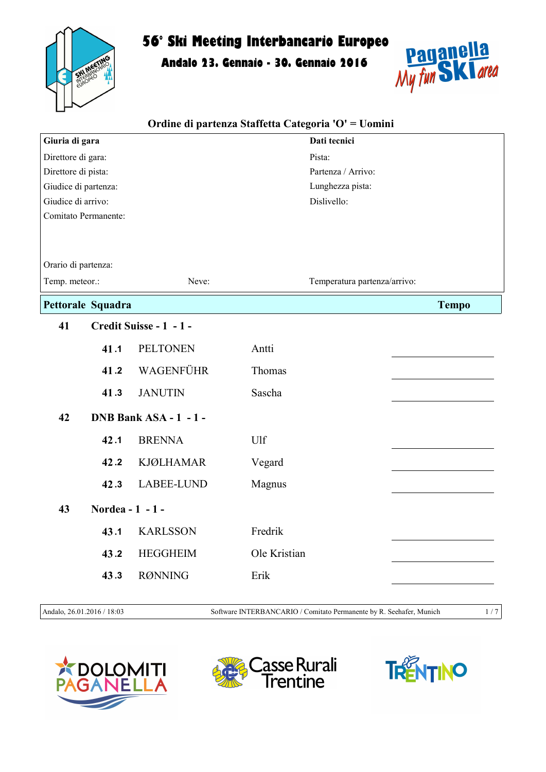

Andalo 23. Gennaio - 30. Gennaio 2016



| Ordine di partenza Staffetta Categoria 'O' = Uomini |                   |                         |                              |                    |  |
|-----------------------------------------------------|-------------------|-------------------------|------------------------------|--------------------|--|
| Giuria di gara                                      |                   |                         | Dati tecnici                 |                    |  |
| Direttore di gara:                                  |                   |                         | Pista:                       |                    |  |
| Direttore di pista:                                 |                   |                         |                              | Partenza / Arrivo: |  |
| Giudice di partenza:                                |                   |                         |                              | Lunghezza pista:   |  |
| Giudice di arrivo:                                  |                   |                         | Dislivello:                  |                    |  |
| Comitato Permanente:                                |                   |                         |                              |                    |  |
| Orario di partenza:                                 |                   |                         |                              |                    |  |
| Temp. meteor.:<br>Neve:                             |                   |                         | Temperatura partenza/arrivo: |                    |  |
|                                                     | Pettorale Squadra |                         |                              | <b>Tempo</b>       |  |
| 41                                                  |                   | Credit Suisse - 1 - 1 - |                              |                    |  |
|                                                     | 41.1              | <b>PELTONEN</b>         | Antti                        |                    |  |
|                                                     | 41.2              | WAGENFÜHR               | Thomas                       |                    |  |
|                                                     | 41.3              | <b>JANUTIN</b>          | Sascha                       |                    |  |
| 42                                                  |                   | DNB Bank ASA - 1 - 1 -  |                              |                    |  |
|                                                     | 42.1              | <b>BRENNA</b>           | Ulf                          |                    |  |
|                                                     | 42.2              | <b>KJØLHAMAR</b>        | Vegard                       |                    |  |
|                                                     | 42.3              | LABEE-LUND              | Magnus                       |                    |  |
| 43                                                  | Nordea - 1 - 1 -  |                         |                              |                    |  |
|                                                     | 43.1              | <b>KARLSSON</b>         | Fredrik                      |                    |  |
|                                                     | 43.2              | <b>HEGGHEIM</b>         | Ole Kristian                 |                    |  |
|                                                     | 43.3              | <b>RØNNING</b>          | Erik                         |                    |  |
|                                                     |                   |                         |                              |                    |  |

Andalo, 26.01.2016 / 18:03 Software INTERBANCARIO / Comitato Permanente by R. Seehafer, Munich 1/7





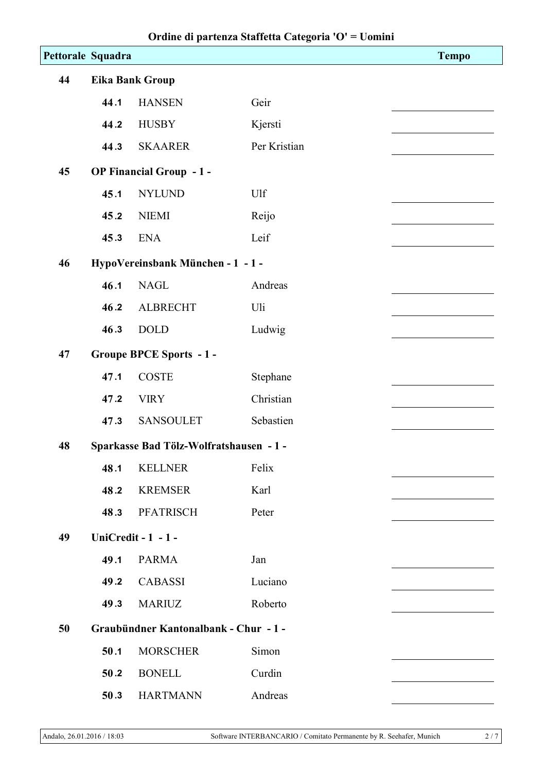|    | Pettorale Squadra      |                                         |              | <b>Tempo</b> |  |
|----|------------------------|-----------------------------------------|--------------|--------------|--|
| 44 | <b>Eika Bank Group</b> |                                         |              |              |  |
|    | 44.1                   | <b>HANSEN</b>                           | Geir         |              |  |
|    | 44.2                   | <b>HUSBY</b>                            | Kjersti      |              |  |
|    | 44.3                   | <b>SKAARER</b>                          | Per Kristian |              |  |
| 45 |                        | OP Financial Group - 1 -                |              |              |  |
|    | 45.1                   | <b>NYLUND</b>                           | Ulf          |              |  |
|    | 45.2                   | <b>NIEMI</b>                            | Reijo        |              |  |
|    | 45.3                   | <b>ENA</b>                              | Leif         |              |  |
| 46 |                        | HypoVereinsbank München - 1 - 1 -       |              |              |  |
|    | 46.1                   | <b>NAGL</b>                             | Andreas      |              |  |
|    | 46.2                   | <b>ALBRECHT</b>                         | Uli          |              |  |
|    | 46.3                   | <b>DOLD</b>                             | Ludwig       |              |  |
| 47 |                        | <b>Groupe BPCE Sports - 1 -</b>         |              |              |  |
|    | 47.1                   | <b>COSTE</b>                            | Stephane     |              |  |
|    | 47.2                   | <b>VIRY</b>                             | Christian    |              |  |
|    | 47.3                   | <b>SANSOULET</b>                        | Sebastien    |              |  |
| 48 |                        | Sparkasse Bad Tölz-Wolfratshausen - 1 - |              |              |  |
|    | 48.1                   | <b>KELLNER</b>                          | Felix        |              |  |
|    | 48.2                   | <b>KREMSER</b>                          | Karl         |              |  |
|    | 48.3                   | <b>PFATRISCH</b>                        | Peter        |              |  |
| 49 |                        | <b>UniCredit - 1 - 1 -</b>              |              |              |  |
|    | 49.1                   | <b>PARMA</b>                            | Jan          |              |  |
|    | 49.2                   | <b>CABASSI</b>                          | Luciano      |              |  |
|    | 49.3                   | <b>MARIUZ</b>                           | Roberto      |              |  |
| 50 |                        | Graubündner Kantonalbank - Chur - 1 -   |              |              |  |
|    | 50.1                   | <b>MORSCHER</b>                         | Simon        |              |  |
|    | 50.2                   | <b>BONELL</b>                           | Curdin       |              |  |
|    | 50.3                   | <b>HARTMANN</b>                         | Andreas      |              |  |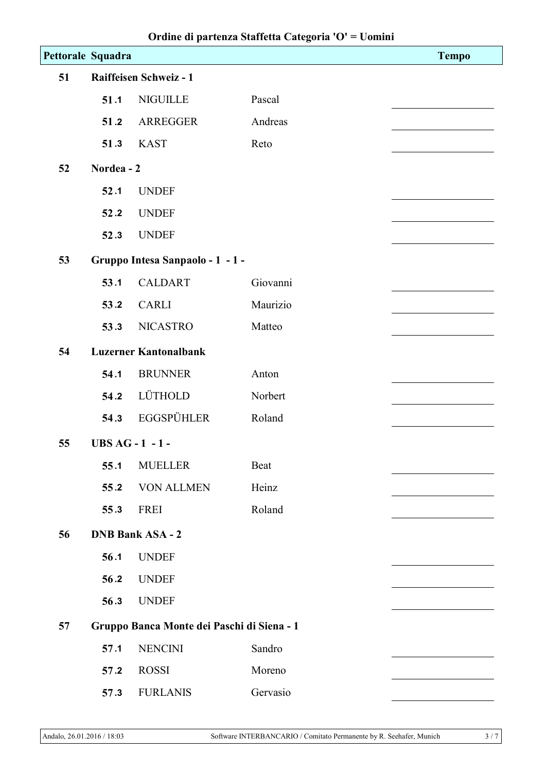|    | Pettorale Squadra                          |                                  |          | <b>Tempo</b> |  |  |  |
|----|--------------------------------------------|----------------------------------|----------|--------------|--|--|--|
| 51 |                                            | Raiffeisen Schweiz - 1           |          |              |  |  |  |
|    | 51.1                                       | <b>NIGUILLE</b>                  | Pascal   |              |  |  |  |
|    | 51.2                                       | ARREGGER                         | Andreas  |              |  |  |  |
|    | 51.3                                       | <b>KAST</b>                      | Reto     |              |  |  |  |
| 52 | Nordea - 2                                 |                                  |          |              |  |  |  |
|    | 52.1                                       | <b>UNDEF</b>                     |          |              |  |  |  |
|    | 52.2                                       | <b>UNDEF</b>                     |          |              |  |  |  |
|    | 52.3                                       | <b>UNDEF</b>                     |          |              |  |  |  |
| 53 |                                            | Gruppo Intesa Sanpaolo - 1 - 1 - |          |              |  |  |  |
|    | 53.1                                       | <b>CALDART</b>                   | Giovanni |              |  |  |  |
|    | 53.2                                       | <b>CARLI</b>                     | Maurizio |              |  |  |  |
|    | 53.3                                       | <b>NICASTRO</b>                  | Matteo   |              |  |  |  |
| 54 |                                            | <b>Luzerner Kantonalbank</b>     |          |              |  |  |  |
|    | 54.1                                       | <b>BRUNNER</b>                   | Anton    |              |  |  |  |
|    | 54.2                                       | LÜTHOLD                          | Norbert  |              |  |  |  |
|    | 54.3                                       | <b>EGGSPÜHLER</b>                | Roland   |              |  |  |  |
| 55 |                                            | <b>UBS AG - 1 - 1 -</b>          |          |              |  |  |  |
|    | 55.1                                       | <b>MUELLER</b>                   | Beat     |              |  |  |  |
|    | 55.2                                       | <b>VON ALLMEN</b>                | Heinz    |              |  |  |  |
|    | 55.3                                       | FREI                             | Roland   |              |  |  |  |
| 56 |                                            | <b>DNB Bank ASA - 2</b>          |          |              |  |  |  |
|    | 56.1                                       | <b>UNDEF</b>                     |          |              |  |  |  |
|    | 56.2                                       | <b>UNDEF</b>                     |          |              |  |  |  |
|    | 56.3                                       | <b>UNDEF</b>                     |          |              |  |  |  |
| 57 | Gruppo Banca Monte dei Paschi di Siena - 1 |                                  |          |              |  |  |  |
|    | 57.1                                       | <b>NENCINI</b>                   | Sandro   |              |  |  |  |
|    | 57.2                                       | <b>ROSSI</b>                     | Moreno   |              |  |  |  |
|    | 57.3                                       | <b>FURLANIS</b>                  | Gervasio |              |  |  |  |
|    |                                            |                                  |          |              |  |  |  |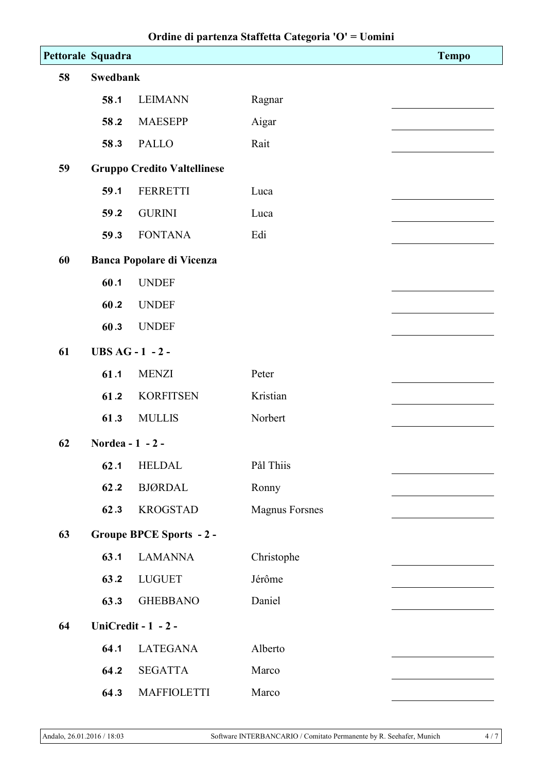| Pettorale Squadra |                  |                                    |                       | <b>Tempo</b> |  |  |
|-------------------|------------------|------------------------------------|-----------------------|--------------|--|--|
| 58                | <b>Swedbank</b>  |                                    |                       |              |  |  |
|                   | 58.1             | <b>LEIMANN</b>                     | Ragnar                |              |  |  |
|                   | 58.2             | <b>MAESEPP</b>                     | Aigar                 |              |  |  |
|                   | 58.3             | <b>PALLO</b>                       | Rait                  |              |  |  |
| 59                |                  | <b>Gruppo Credito Valtellinese</b> |                       |              |  |  |
|                   | 59.1             | <b>FERRETTI</b>                    | Luca                  |              |  |  |
|                   | 59.2             | <b>GURINI</b>                      | Luca                  |              |  |  |
|                   | 59.3             | <b>FONTANA</b>                     | Edi                   |              |  |  |
| 60                |                  | <b>Banca Popolare di Vicenza</b>   |                       |              |  |  |
|                   | 60.1             | <b>UNDEF</b>                       |                       |              |  |  |
|                   | 60.2             | <b>UNDEF</b>                       |                       |              |  |  |
|                   | 60.3             | <b>UNDEF</b>                       |                       |              |  |  |
| 61                |                  | <b>UBS AG - 1 - 2 -</b>            |                       |              |  |  |
|                   | 61.1             | <b>MENZI</b>                       | Peter                 |              |  |  |
|                   | 61.2             | <b>KORFITSEN</b>                   | Kristian              |              |  |  |
|                   | 61.3             | <b>MULLIS</b>                      | Norbert               |              |  |  |
| 62                | Nordea - 1 - 2 - |                                    |                       |              |  |  |
|                   | 62.1             | <b>HELDAL</b>                      | Pål Thiis             |              |  |  |
|                   | 62.2             | <b>BJØRDAL</b>                     | Ronny                 |              |  |  |
|                   | 62.3             | <b>KROGSTAD</b>                    | <b>Magnus Forsnes</b> |              |  |  |
| 63                |                  | <b>Groupe BPCE Sports - 2 -</b>    |                       |              |  |  |
|                   | 63.1             | <b>LAMANNA</b>                     | Christophe            |              |  |  |
|                   | 63.2             | <b>LUGUET</b>                      | Jérôme                |              |  |  |
|                   | 63.3             | <b>GHEBBANO</b>                    | Daniel                |              |  |  |
| 64                |                  | UniCredit - 1 - 2 -                |                       |              |  |  |
|                   | 64.1             | <b>LATEGANA</b>                    | Alberto               |              |  |  |
|                   | 64.2             | <b>SEGATTA</b>                     | Marco                 |              |  |  |
|                   | 64.3             | <b>MAFFIOLETTI</b>                 | Marco                 |              |  |  |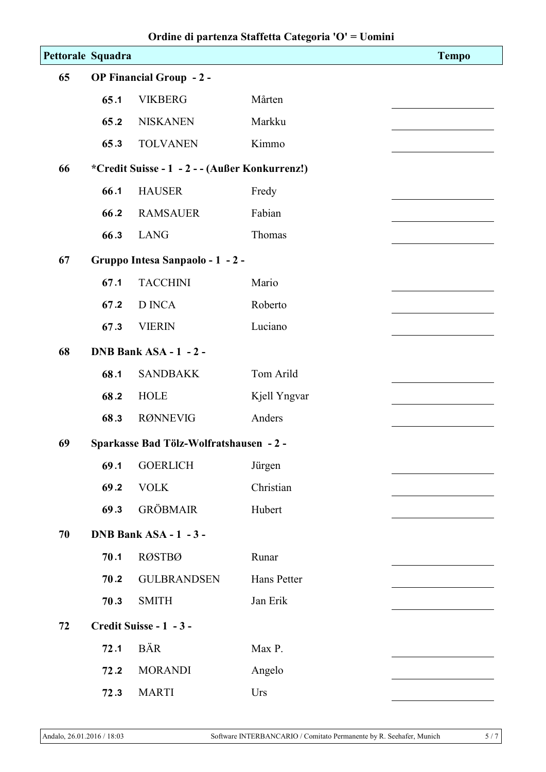|                   |                                 |                                                | 0            |              |  |
|-------------------|---------------------------------|------------------------------------------------|--------------|--------------|--|
| Pettorale Squadra |                                 |                                                |              | <b>Tempo</b> |  |
| 65                | <b>OP Financial Group - 2 -</b> |                                                |              |              |  |
|                   | 65.1                            | <b>VIKBERG</b>                                 | Mårten       |              |  |
|                   | 65.2                            | <b>NISKANEN</b>                                | Markku       |              |  |
|                   | 65.3                            | <b>TOLVANEN</b>                                | Kimmo        |              |  |
| 66                |                                 | *Credit Suisse - 1 - 2 - - (Außer Konkurrenz!) |              |              |  |
|                   | 66.1                            | <b>HAUSER</b>                                  | Fredy        |              |  |
|                   | 66.2                            | <b>RAMSAUER</b>                                | Fabian       |              |  |
|                   | 66.3                            | <b>LANG</b>                                    | Thomas       |              |  |
| 67                |                                 | Gruppo Intesa Sanpaolo - 1 - 2 -               |              |              |  |
|                   | 67.1                            | <b>TACCHINI</b>                                | Mario        |              |  |
|                   | 67.2                            | <b>D</b> INCA                                  | Roberto      |              |  |
|                   | 67.3                            | <b>VIERIN</b>                                  | Luciano      |              |  |
| 68                |                                 | DNB Bank ASA - 1 - 2 -                         |              |              |  |
|                   | 68.1                            | <b>SANDBAKK</b>                                | Tom Arild    |              |  |
|                   | 68.2                            | <b>HOLE</b>                                    | Kjell Yngvar |              |  |
|                   | 68.3                            | <b>RØNNEVIG</b>                                | Anders       |              |  |
| 69                |                                 | Sparkasse Bad Tölz-Wolfratshausen - 2 -        |              |              |  |
|                   | 69.1                            | <b>GOERLICH</b>                                | Jürgen       |              |  |
|                   | 69.2                            | <b>VOLK</b>                                    | Christian    |              |  |
|                   | 69.3                            | <b>GRÖBMAIR</b>                                | Hubert       |              |  |
| 70                |                                 | DNB Bank ASA - 1 - 3 -                         |              |              |  |
|                   | 70.1                            | <b>RØSTBØ</b>                                  | Runar        |              |  |
|                   | 70.2                            | <b>GULBRANDSEN</b>                             | Hans Petter  |              |  |
|                   | 70.3                            | <b>SMITH</b>                                   | Jan Erik     |              |  |
| 72                |                                 | Credit Suisse - 1 - 3 -                        |              |              |  |
|                   | 72.1                            | <b>BÄR</b>                                     | Max P.       |              |  |
|                   | 72.2                            | <b>MORANDI</b>                                 | Angelo       |              |  |
|                   | 72.3                            | <b>MARTI</b>                                   | Urs          |              |  |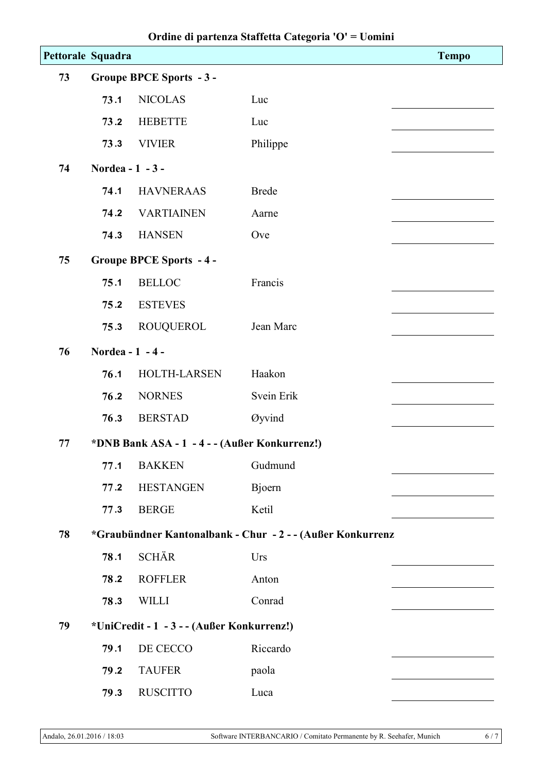| Pettorale Squadra |                                 |                                                            |              | <b>Tempo</b> |  |
|-------------------|---------------------------------|------------------------------------------------------------|--------------|--------------|--|
| 73                | <b>Groupe BPCE Sports - 3 -</b> |                                                            |              |              |  |
|                   | 73.1                            | <b>NICOLAS</b>                                             | Luc          |              |  |
|                   | 73.2                            | <b>HEBETTE</b>                                             | Luc          |              |  |
|                   | 73.3                            | <b>VIVIER</b>                                              | Philippe     |              |  |
| 74                | Nordea - 1 - 3 -                |                                                            |              |              |  |
|                   | 74.1                            | <b>HAVNERAAS</b>                                           | <b>Brede</b> |              |  |
|                   | 74.2                            | <b>VARTIAINEN</b>                                          | Aarne        |              |  |
|                   | 74.3                            | <b>HANSEN</b>                                              | Ove          |              |  |
| 75                |                                 | <b>Groupe BPCE Sports - 4 -</b>                            |              |              |  |
|                   | 75.1                            | <b>BELLOC</b>                                              | Francis      |              |  |
|                   | 75.2                            | <b>ESTEVES</b>                                             |              |              |  |
|                   | 75.3                            | ROUQUEROL                                                  | Jean Marc    |              |  |
| 76                | Nordea - 1 - 4 -                |                                                            |              |              |  |
|                   | 76.1                            | HOLTH-LARSEN                                               | Haakon       |              |  |
|                   | 76.2                            | <b>NORNES</b>                                              | Svein Erik   |              |  |
|                   | 76.3                            | <b>BERSTAD</b>                                             | Øyvind       |              |  |
| 77                |                                 | *DNB Bank ASA - 1 - 4 - - (Außer Konkurrenz!)              |              |              |  |
|                   | 77.1                            | <b>BAKKEN</b>                                              | Gudmund      |              |  |
|                   | 77.2                            | <b>HESTANGEN</b>                                           | Bjoern       |              |  |
|                   | 77.3                            | <b>BERGE</b>                                               | Ketil        |              |  |
| 78                |                                 | *Graubündner Kantonalbank - Chur - 2 - - (Außer Konkurrenz |              |              |  |
|                   | 78.1                            | <b>SCHÄR</b>                                               | Urs          |              |  |
|                   | 78.2                            | <b>ROFFLER</b>                                             | Anton        |              |  |
|                   | 78.3                            | <b>WILLI</b>                                               | Conrad       |              |  |
| 79                |                                 | *UniCredit - 1 - 3 - - (Außer Konkurrenz!)                 |              |              |  |
|                   | 79.1                            | DE CECCO                                                   | Riccardo     |              |  |
|                   | 79.2                            | <b>TAUFER</b>                                              | paola        |              |  |
|                   | 79.3                            | <b>RUSCITTO</b>                                            | Luca         |              |  |